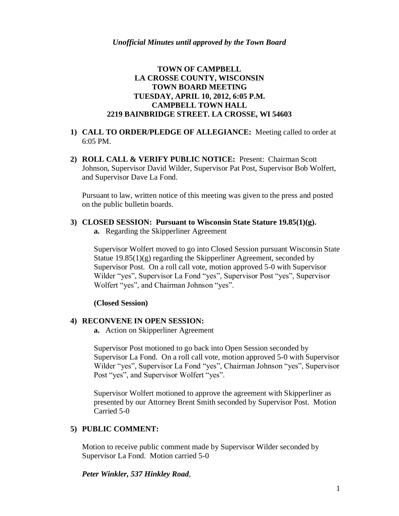## **TOWN OF CAMPBELL LA CROSSE COUNTY, WISCONSIN TOWN BOARD MEETING TUESDAY, APRIL 10, 2012, 6:05 P.M. CAMPBELL TOWN HALL 2219 BAINBRIDGE STREET. LA CROSSE, WI 54603**

- **1) CALL TO ORDER/PLEDGE OF ALLEGIANCE:** Meeting called to order at 6:05 PM.
- **2) ROLL CALL & VERIFY PUBLIC NOTICE:** Present: Chairman Scott Johnson, Supervisor David Wilder, Supervisor Pat Post, Supervisor Bob Wolfert, and Supervisor Dave La Fond.

Pursuant to law, written notice of this meeting was given to the press and posted on the public bulletin boards.

# **3) CLOSED SESSION: Pursuant to Wisconsin State Stature 19.85(1)(g).**

**a.** Regarding the Skipperliner Agreement

Supervisor Wolfert moved to go into Closed Session pursuant Wisconsin State Statue 19.85(1)(g) regarding the Skipperliner Agreement, seconded by Supervisor Post. On a roll call vote, motion approved 5-0 with Supervisor Wilder "yes", Supervisor La Fond "yes", Supervisor Post "yes", Supervisor Wolfert "yes", and Chairman Johnson "yes".

#### **(Closed Session)**

## **4) RECONVENE IN OPEN SESSION:**

**a.** Action on Skipperliner Agreement

Supervisor Post motioned to go back into Open Session seconded by Supervisor La Fond. On a roll call vote, motion approved 5-0 with Supervisor Wilder "yes", Supervisor La Fond "yes", Chairman Johnson "yes", Supervisor Post "yes", and Supervisor Wolfert "yes".

Supervisor Wolfert motioned to approve the agreement with Skipperliner as presented by our Attorney Brent Smith seconded by Supervisor Post. Motion Carried 5-0

## **5) PUBLIC COMMENT:**

Motion to receive public comment made by Supervisor Wilder seconded by Supervisor La Fond. Motion carried 5-0

*Peter Winkler, 537 Hinkley Road*,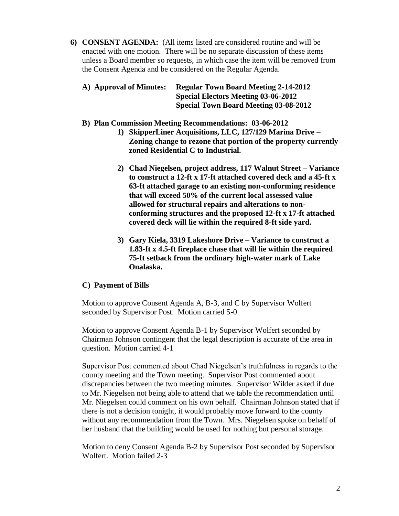**6) CONSENT AGENDA:** (All items listed are considered routine and will be enacted with one motion. There will be no separate discussion of these items unless a Board member so requests, in which case the item will be removed from the Consent Agenda and be considered on the Regular Agenda.

| A) Approval of Minutes: | <b>Regular Town Board Meeting 2-14-2012</b>  |
|-------------------------|----------------------------------------------|
|                         | <b>Special Electors Meeting 03-06-2012</b>   |
|                         | <b>Special Town Board Meeting 03-08-2012</b> |

#### **B) Plan Commission Meeting Recommendations: 03-06-2012**

- **1) SkipperLiner Acquisitions, LLC, 127/129 Marina Drive – Zoning change to rezone that portion of the property currently zoned Residential C to Industrial.** 
	- **2) Chad Niegelsen, project address, 117 Walnut Street – Variance to construct a 12-ft x 17-ft attached covered deck and a 45-ft x 63-ft attached garage to an existing non-conforming residence that will exceed 50% of the current local assessed value allowed for structural repairs and alterations to nonconforming structures and the proposed 12-ft x 17-ft attached covered deck will lie within the required 8-ft side yard.**
	- **3) Gary Kiela, 3319 Lakeshore Drive – Variance to construct a 1.83-ft x 4.5-ft fireplace chase that will lie within the required 75-ft setback from the ordinary high-water mark of Lake Onalaska.**

## **C) Payment of Bills**

Motion to approve Consent Agenda A, B-3, and C by Supervisor Wolfert seconded by Supervisor Post. Motion carried 5-0

Motion to approve Consent Agenda B-1 by Supervisor Wolfert seconded by Chairman Johnson contingent that the legal description is accurate of the area in question. Motion carried 4-1

Supervisor Post commented about Chad Niegelsen's truthfulness in regards to the county meeting and the Town meeting. Supervisor Post commented about discrepancies between the two meeting minutes. Supervisor Wilder asked if due to Mr. Niegelsen not being able to attend that we table the recommendation until Mr. Niegelsen could comment on his own behalf. Chairman Johnson stated that if there is not a decision tonight, it would probably move forward to the county without any recommendation from the Town. Mrs. Niegelsen spoke on behalf of her husband that the building would be used for nothing but personal storage.

Motion to deny Consent Agenda B-2 by Supervisor Post seconded by Supervisor Wolfert. Motion failed 2-3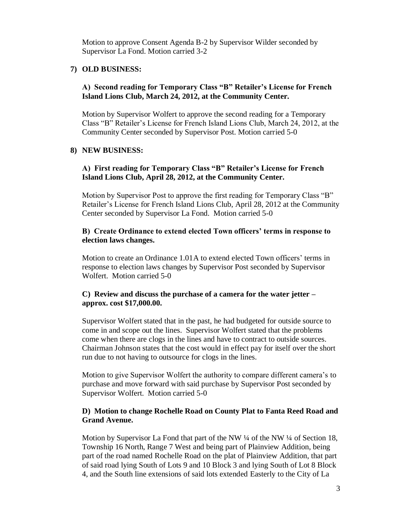Motion to approve Consent Agenda B-2 by Supervisor Wilder seconded by Supervisor La Fond. Motion carried 3-2

#### **7) OLD BUSINESS:**

#### **A) Second reading for Temporary Class "B" Retailer's License for French Island Lions Club, March 24, 2012, at the Community Center.**

Motion by Supervisor Wolfert to approve the second reading for a Temporary Class "B" Retailer's License for French Island Lions Club, March 24, 2012, at the Community Center seconded by Supervisor Post. Motion carried 5-0

#### **8) NEW BUSINESS:**

## **A) First reading for Temporary Class "B" Retailer's License for French Island Lions Club, April 28, 2012, at the Community Center.**

Motion by Supervisor Post to approve the first reading for Temporary Class "B" Retailer's License for French Island Lions Club, April 28, 2012 at the Community Center seconded by Supervisor La Fond. Motion carried 5-0

#### **B) Create Ordinance to extend elected Town officers' terms in response to election laws changes.**

Motion to create an Ordinance 1.01A to extend elected Town officers' terms in response to election laws changes by Supervisor Post seconded by Supervisor Wolfert. Motion carried 5-0

#### **C) Review and discuss the purchase of a camera for the water jetter – approx. cost \$17,000.00.**

Supervisor Wolfert stated that in the past, he had budgeted for outside source to come in and scope out the lines. Supervisor Wolfert stated that the problems come when there are clogs in the lines and have to contract to outside sources. Chairman Johnson states that the cost would in effect pay for itself over the short run due to not having to outsource for clogs in the lines.

Motion to give Supervisor Wolfert the authority to compare different camera's to purchase and move forward with said purchase by Supervisor Post seconded by Supervisor Wolfert. Motion carried 5-0

#### **D) Motion to change Rochelle Road on County Plat to Fanta Reed Road and Grand Avenue.**

Motion by Supervisor La Fond that part of the NW ¼ of the NW ¼ of Section 18, Township 16 North, Range 7 West and being part of Plainview Addition, being part of the road named Rochelle Road on the plat of Plainview Addition, that part of said road lying South of Lots 9 and 10 Block 3 and lying South of Lot 8 Block 4, and the South line extensions of said lots extended Easterly to the City of La